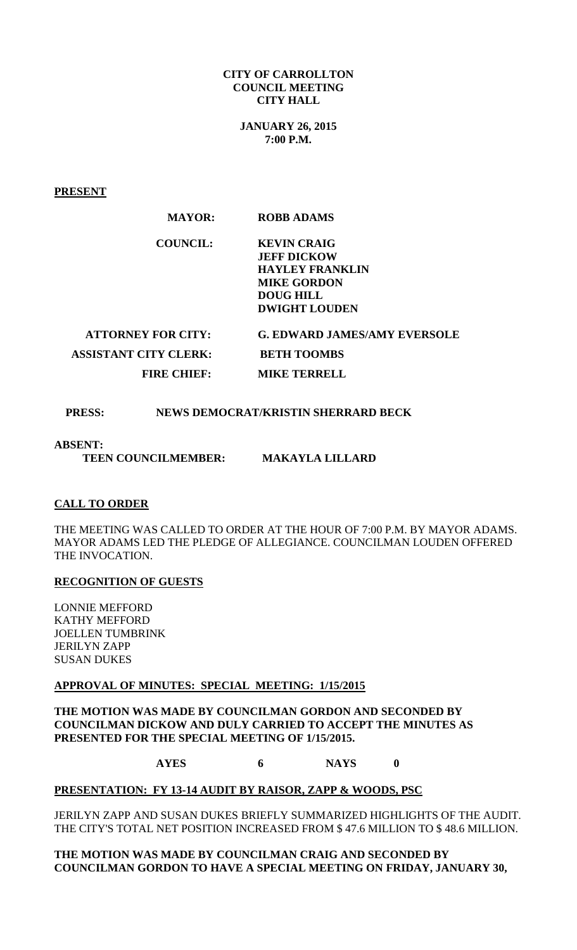#### **CITY OF CARROLLTON COUNCIL MEETING CITY HALL**

**JANUARY 26, 2015 7:00 P.M.**

**PRESENT**

 **MAYOR: ROBB ADAMS**

**COUNCIL: KEVIN CRAIG JEFF DICKOW HAYLEY FRANKLIN MIKE GORDON DOUG HILL DWIGHT LOUDEN**

| <b>ATTORNEY FOR CITY:</b>    | G. EDWARD JAMES/AMY EVERSOLE |
|------------------------------|------------------------------|
| <b>ASSISTANT CITY CLERK:</b> | <b>BETH TOOMBS</b>           |
| <b>FIRE CHIEF:</b>           | MIKE TERRELL                 |

# **PRESS: NEWS DEMOCRAT/KRISTIN SHERRARD BECK**

### **ABSENT:**

 **TEEN COUNCILMEMBER: MAKAYLA LILLARD** 

### **CALL TO ORDER**

THE MEETING WAS CALLED TO ORDER AT THE HOUR OF 7:00 P.M. BY MAYOR ADAMS. MAYOR ADAMS LED THE PLEDGE OF ALLEGIANCE. COUNCILMAN LOUDEN OFFERED THE INVOCATION.

### **RECOGNITION OF GUESTS**

LONNIE MEFFORD KATHY MEFFORD JOELLEN TUMBRINK JERILYN ZAPP SUSAN DUKES

### **APPROVAL OF MINUTES: SPECIAL MEETING: 1/15/2015**

**THE MOTION WAS MADE BY COUNCILMAN GORDON AND SECONDED BY COUNCILMAN DICKOW AND DULY CARRIED TO ACCEPT THE MINUTES AS PRESENTED FOR THE SPECIAL MEETING OF 1/15/2015.**

**AYES 6 NAYS 0**

**PRESENTATION: FY 13-14 AUDIT BY RAISOR, ZAPP & WOODS, PSC**

JERILYN ZAPP AND SUSAN DUKES BRIEFLY SUMMARIZED HIGHLIGHTS OF THE AUDIT. THE CITY'S TOTAL NET POSITION INCREASED FROM \$ 47.6 MILLION TO \$ 48.6 MILLION.

**THE MOTION WAS MADE BY COUNCILMAN CRAIG AND SECONDED BY COUNCILMAN GORDON TO HAVE A SPECIAL MEETING ON FRIDAY, JANUARY 30,**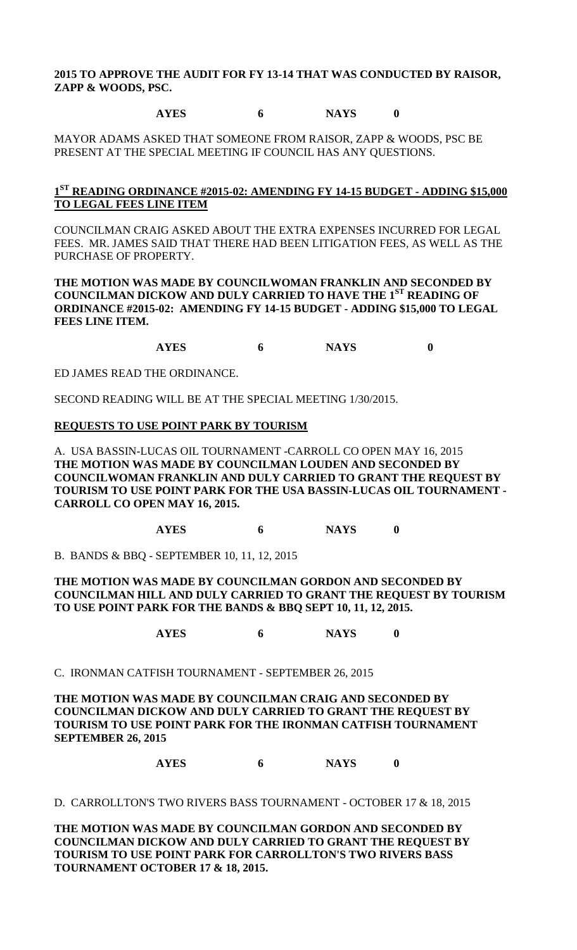# **2015 TO APPROVE THE AUDIT FOR FY 13-14 THAT WAS CONDUCTED BY RAISOR, ZAPP & WOODS, PSC.**

# **AYES 6 NAYS 0**

MAYOR ADAMS ASKED THAT SOMEONE FROM RAISOR, ZAPP & WOODS, PSC BE PRESENT AT THE SPECIAL MEETING IF COUNCIL HAS ANY QUESTIONS.

# **1 ST READING ORDINANCE #2015-02: AMENDING FY 14-15 BUDGET - ADDING \$15,000 TO LEGAL FEES LINE ITEM**

COUNCILMAN CRAIG ASKED ABOUT THE EXTRA EXPENSES INCURRED FOR LEGAL FEES. MR. JAMES SAID THAT THERE HAD BEEN LITIGATION FEES, AS WELL AS THE PURCHASE OF PROPERTY.

### **THE MOTION WAS MADE BY COUNCILWOMAN FRANKLIN AND SECONDED BY COUNCILMAN DICKOW AND DULY CARRIED TO HAVE THE 1ST READING OF ORDINANCE #2015-02: AMENDING FY 14-15 BUDGET - ADDING \$15,000 TO LEGAL FEES LINE ITEM.**

**AYES 6 NAYS 0**

ED JAMES READ THE ORDINANCE.

SECOND READING WILL BE AT THE SPECIAL MEETING 1/30/2015.

### **REQUESTS TO USE POINT PARK BY TOURISM**

A. USA BASSIN-LUCAS OIL TOURNAMENT -CARROLL CO OPEN MAY 16, 2015 **THE MOTION WAS MADE BY COUNCILMAN LOUDEN AND SECONDED BY COUNCILWOMAN FRANKLIN AND DULY CARRIED TO GRANT THE REQUEST BY TOURISM TO USE POINT PARK FOR THE USA BASSIN-LUCAS OIL TOURNAMENT - CARROLL CO OPEN MAY 16, 2015.**

**AYES 6 NAYS 0**

B. BANDS & BBQ - SEPTEMBER 10, 11, 12, 2015

**THE MOTION WAS MADE BY COUNCILMAN GORDON AND SECONDED BY COUNCILMAN HILL AND DULY CARRIED TO GRANT THE REQUEST BY TOURISM TO USE POINT PARK FOR THE BANDS & BBQ SEPT 10, 11, 12, 2015.**

**AYES 6 NAYS 0**

C. IRONMAN CATFISH TOURNAMENT - SEPTEMBER 26, 2015

**THE MOTION WAS MADE BY COUNCILMAN CRAIG AND SECONDED BY COUNCILMAN DICKOW AND DULY CARRIED TO GRANT THE REQUEST BY TOURISM TO USE POINT PARK FOR THE IRONMAN CATFISH TOURNAMENT SEPTEMBER 26, 2015**

**AYES 6 NAYS 0**

D. CARROLLTON'S TWO RIVERS BASS TOURNAMENT - OCTOBER 17 & 18, 2015

**THE MOTION WAS MADE BY COUNCILMAN GORDON AND SECONDED BY COUNCILMAN DICKOW AND DULY CARRIED TO GRANT THE REQUEST BY TOURISM TO USE POINT PARK FOR CARROLLTON'S TWO RIVERS BASS TOURNAMENT OCTOBER 17 & 18, 2015.**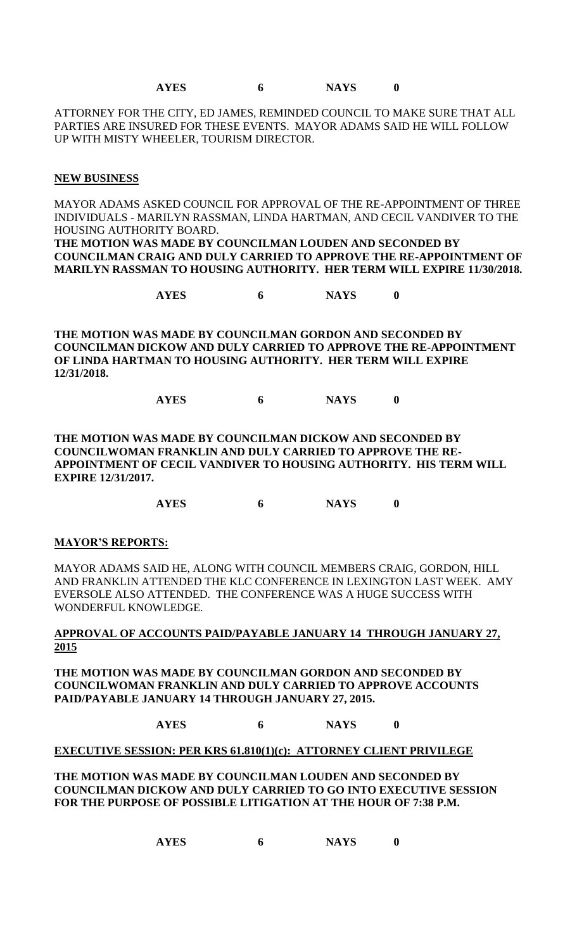| <b>AYES</b> |  | <b>NAYS</b> |  |
|-------------|--|-------------|--|
|-------------|--|-------------|--|

ATTORNEY FOR THE CITY, ED JAMES, REMINDED COUNCIL TO MAKE SURE THAT ALL PARTIES ARE INSURED FOR THESE EVENTS. MAYOR ADAMS SAID HE WILL FOLLOW UP WITH MISTY WHEELER, TOURISM DIRECTOR.

#### **NEW BUSINESS**

MAYOR ADAMS ASKED COUNCIL FOR APPROVAL OF THE RE-APPOINTMENT OF THREE INDIVIDUALS - MARILYN RASSMAN, LINDA HARTMAN, AND CECIL VANDIVER TO THE HOUSING AUTHORITY BOARD.

**THE MOTION WAS MADE BY COUNCILMAN LOUDEN AND SECONDED BY COUNCILMAN CRAIG AND DULY CARRIED TO APPROVE THE RE-APPOINTMENT OF MARILYN RASSMAN TO HOUSING AUTHORITY. HER TERM WILL EXPIRE 11/30/2018.**

**AYES 6 NAYS 0**

**THE MOTION WAS MADE BY COUNCILMAN GORDON AND SECONDED BY COUNCILMAN DICKOW AND DULY CARRIED TO APPROVE THE RE-APPOINTMENT OF LINDA HARTMAN TO HOUSING AUTHORITY. HER TERM WILL EXPIRE 12/31/2018.**

**AYES 6 NAYS 0**

**THE MOTION WAS MADE BY COUNCILMAN DICKOW AND SECONDED BY COUNCILWOMAN FRANKLIN AND DULY CARRIED TO APPROVE THE RE-APPOINTMENT OF CECIL VANDIVER TO HOUSING AUTHORITY. HIS TERM WILL EXPIRE 12/31/2017.**

**AYES 6 NAYS 0**

## **MAYOR'S REPORTS:**

MAYOR ADAMS SAID HE, ALONG WITH COUNCIL MEMBERS CRAIG, GORDON, HILL AND FRANKLIN ATTENDED THE KLC CONFERENCE IN LEXINGTON LAST WEEK. AMY EVERSOLE ALSO ATTENDED. THE CONFERENCE WAS A HUGE SUCCESS WITH WONDERFUL KNOWLEDGE.

# **APPROVAL OF ACCOUNTS PAID/PAYABLE JANUARY 14 THROUGH JANUARY 27, 2015**

**THE MOTION WAS MADE BY COUNCILMAN GORDON AND SECONDED BY COUNCILWOMAN FRANKLIN AND DULY CARRIED TO APPROVE ACCOUNTS PAID/PAYABLE JANUARY 14 THROUGH JANUARY 27, 2015.**

**AYES 6 NAYS 0**

**EXECUTIVE SESSION: PER KRS 61.810(1)(c): ATTORNEY CLIENT PRIVILEGE**

**THE MOTION WAS MADE BY COUNCILMAN LOUDEN AND SECONDED BY COUNCILMAN DICKOW AND DULY CARRIED TO GO INTO EXECUTIVE SESSION FOR THE PURPOSE OF POSSIBLE LITIGATION AT THE HOUR OF 7:38 P.M.**

**AYES 6 NAYS 0**